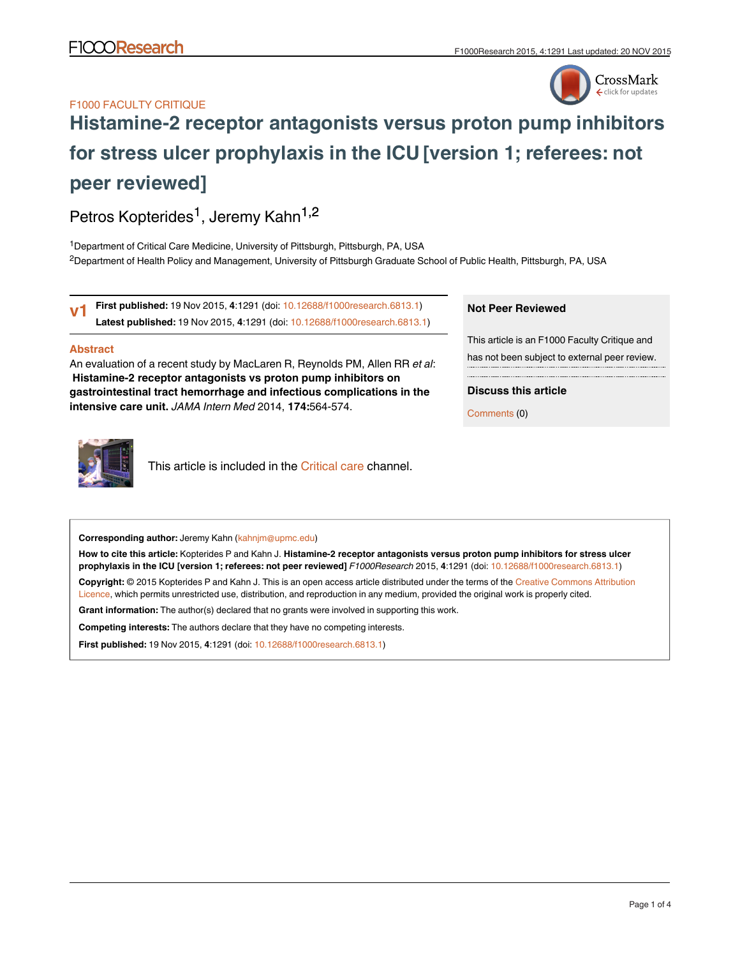## F1000 FACULTY CRITIQUE



# **[Histamine-2 receptor antagonists versus proton pump inhibitors](http://f1000research.com/articles/4-1291/v1) [for stress ulcer prophylaxis in the ICU](http://f1000research.com/articles/4-1291/v1) [version 1; referees: not peer reviewed]**

Petros Kopterides<sup>1</sup>, Jeremy Kahn<sup>1,2</sup>

<sup>1</sup> Department of Critical Care Medicine, University of Pittsburgh, Pittsburgh, PA, USA <sup>2</sup>Department of Health Policy and Management, University of Pittsburgh Graduate School of Public Health, Pittsburgh, PA, USA

**First published:** 19 Nov 2015, **4**:1291 (doi: [10.12688/f1000research.6813.1](http://dx.doi.org/10.12688/f1000research.6813.1)) **Latest published:** 19 Nov 2015, **4**:1291 (doi: [10.12688/f1000research.6813.1\)](http://dx.doi.org/10.12688/f1000research.6813.1) **v1**

## **Abstract**

An evaluation of a recent study by MacLaren R, Reynolds PM, Allen RR *et al*:  **Histamine-2 receptor antagonists vs proton pump inhibitors on gastrointestinal tract hemorrhage and infectious complications in the intensive care unit.** *JAMA Intern Med* 2014, **174:**564-574.



This article is included in the [Critical care](http://f1000research.com/channels/critical-care) channel.

# **Corresponding author:** Jeremy Kahn (kahnjm@upmc.edu)

**How to cite this article:** Kopterides P and Kahn J. **Histamine-2 receptor antagonists versus proton pump inhibitors for stress ulcer prophylaxis in the ICU [version 1; referees: not peer reviewed]** *F1000Research* 2015, **4**:1291 (doi: [10.12688/f1000research.6813.1](http://dx.doi.org/10.12688/f1000research.6813.1))

**Copyright:** © 2015 Kopterides P and Kahn J. This is an open access article distributed under the terms of the [Creative Commons Attribution](http://creativecommons.org/licenses/by/4.0/) [Licence](http://creativecommons.org/licenses/by/4.0/), which permits unrestricted use, distribution, and reproduction in any medium, provided the original work is properly cited.

**Grant information:** The author(s) declared that no grants were involved in supporting this work.

**Competing interests:** The authors declare that they have no competing interests.

**First published:** 19 Nov 2015, **4**:1291 (doi: [10.12688/f1000research.6813.1\)](http://dx.doi.org/10.12688/f1000research.6813.1)

## **Not Peer Reviewed**

This article is an F1000 Faculty Critique and has not been subject to external peer review.

**Discuss this article**

Comments (0)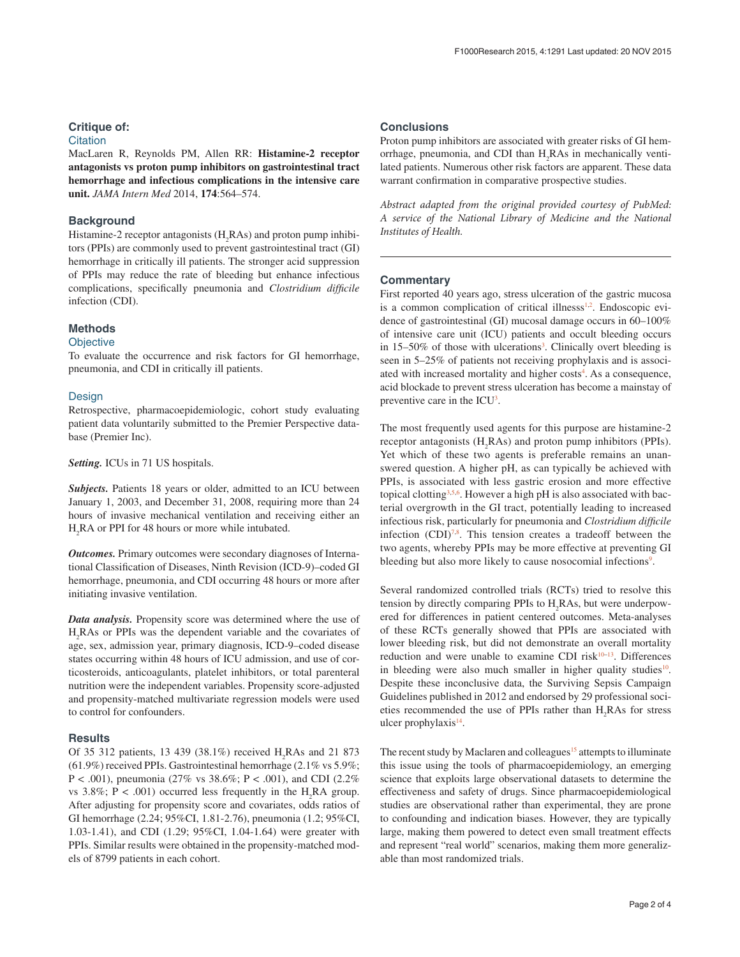## **Critique of:**

## **Citation**

MacLaren R, Reynolds PM, Allen RR: **Histamine-2 receptor antagonists vs proton pump inhibitors on gastrointestinal tract hemorrhage and infectious complications in the intensive care unit.** *JAMA Intern Med* 2014, **174**:564–574.

## **Background**

Histamine-2 receptor antagonists (H<sub>2</sub>RAs) and proton pump inhibitors (PPIs) are commonly used to prevent gastrointestinal tract (GI) hemorrhage in critically ill patients. The stronger acid suppression of PPIs may reduce the rate of bleeding but enhance infectious complications, specifically pneumonia and *Clostridium difficile* infection (CDI).

## **Methods**

#### **Objective**

To evaluate the occurrence and risk factors for GI hemorrhage, pneumonia, and CDI in critically ill patients.

#### **Design**

Retrospective, pharmacoepidemiologic, cohort study evaluating patient data voluntarily submitted to the Premier Perspective database (Premier Inc).

*Setting.* ICUs in 71 US hospitals.

*Subjects.* Patients 18 years or older, admitted to an ICU between January 1, 2003, and December 31, 2008, requiring more than 24 hours of invasive mechanical ventilation and receiving either an H2 RA or PPI for 48 hours or more while intubated.

*Outcomes.* Primary outcomes were secondary diagnoses of International Classification of Diseases, Ninth Revision (ICD-9)–coded GI hemorrhage, pneumonia, and CDI occurring 48 hours or more after initiating invasive ventilation.

*Data analysis.* Propensity score was determined where the use of H2 RAs or PPIs was the dependent variable and the covariates of age, sex, admission year, primary diagnosis, ICD-9–coded disease states occurring within 48 hours of ICU admission, and use of corticosteroids, anticoagulants, platelet inhibitors, or total parenteral nutrition were the independent variables. Propensity score-adjusted and propensity-matched multivariate regression models were used to control for confounders.

#### **Results**

Of 35 312 patients, 13 439 (38.1%) received  $H_2$ RAs and 21 873 (61.9%) received PPIs. Gastrointestinal hemorrhage (2.1% vs 5.9%; P < .001), pneumonia (27% vs 38.6%; P < .001), and CDI (2.2%) vs 3.8%;  $P < .001$ ) occurred less frequently in the H<sub>2</sub>RA group. After adjusting for propensity score and covariates, odds ratios of GI hemorrhage (2.24; 95%CI, 1.81-2.76), pneumonia (1.2; 95%CI, 1.03-1.41), and CDI (1.29; 95%CI, 1.04-1.64) were greater with PPIs. Similar results were obtained in the propensity-matched models of 8799 patients in each cohort.

## **Conclusions**

Proton pump inhibitors are associated with greater risks of GI hemorrhage, pneumonia, and CDI than H<sub>2</sub>RAs in mechanically ventilated patients. Numerous other risk factors are apparent. These data warrant confirmation in comparative prospective studies.

*Abstract adapted from the original provided courtesy of PubMed: A service of the National Library of Medicine and the National Institutes of Health.*

## **Commentary**

First reported 40 years ago, stress ulceration of the gastric mucosa is a common complication of critical illnesss<sup>[1,2](#page-2-0)</sup>. Endoscopic evidence of gastrointestinal (GI) mucosal damage occurs in 60–100% of intensive care unit (ICU) patients and occult bleeding occurs in 15–50% of those with ulcerations<sup>3</sup>. Clinically overt bleeding is seen in 5–25% of patients not receiving prophylaxis and is associ-ated with increased mortality and higher costs<sup>[4](#page-2-0)</sup>. As a consequence, acid blockade to prevent stress ulceration has become a mainstay of preventive care in the  $ICU<sup>3</sup>$ .

The most frequently used agents for this purpose are histamine-2 receptor antagonists  $(H_2RAs)$  and proton pump inhibitors (PPIs). Yet which of these two agents is preferable remains an unanswered question. A higher pH, as can typically be achieved with PPIs, is associated with less gastric erosion and more effective topical clotting<sup>[3,5,6](#page-2-0)</sup>. However a high pH is also associated with bacterial overgrowth in the GI tract, potentially leading to increased infectious risk, particularly for pneumonia and *Clostridium difficile* infection  $(CDI)^{7,8}$  $(CDI)^{7,8}$  $(CDI)^{7,8}$ . This tension creates a tradeoff between the two agents, whereby PPIs may be more effective at preventing GI bleeding but also more likely to cause nosocomial infections<sup>9</sup>.

Several randomized controlled trials (RCTs) tried to resolve this tension by directly comparing PPIs to  $H_2$ RAs, but were underpowered for differences in patient centered outcomes. Meta-analyses of these RCTs generally showed that PPIs are associated with lower bleeding risk, but did not demonstrate an overall mortality reduction and were unable to examine CDI risk<sup>[10](#page-2-0)-13</sup>. Differences in bleeding were also much smaller in higher quality studies $10$ . Despite these inconclusive data, the Surviving Sepsis Campaign Guidelines published in 2012 and endorsed by 29 professional societies recommended the use of PPIs rather than  $H_2$ RAs for stress ulcer prophylaxis $14$ .

The recent study by Maclaren and colleagues<sup>15</sup> attempts to illuminate this issue using the tools of pharmacoepidemiology, an emerging science that exploits large observational datasets to determine the effectiveness and safety of drugs. Since pharmacoepidemiological studies are observational rather than experimental, they are prone to confounding and indication biases. However, they are typically large, making them powered to detect even small treatment effects and represent "real world" scenarios, making them more generalizable than most randomized trials.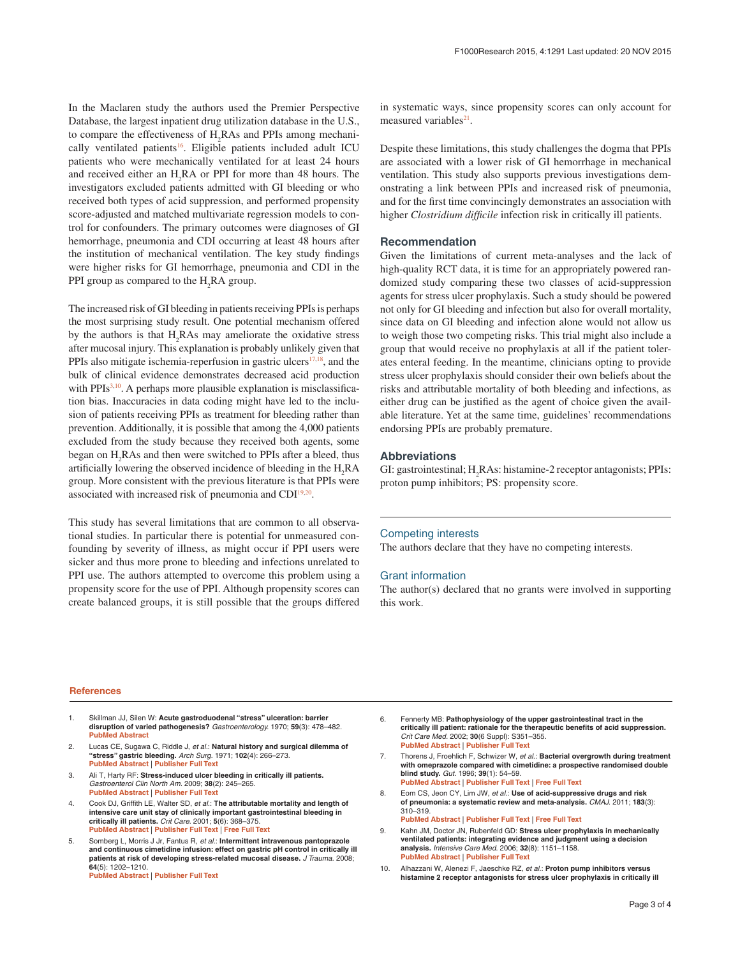<span id="page-2-0"></span>In the Maclaren study the authors used the Premier Perspective Database, the largest inpatient drug utilization database in the U.S., to compare the effectiveness of  $H_2$ RAs and PPIs among mechanically ventilated patients<sup>16</sup>. Eligible patients included adult ICU patients who were mechanically ventilated for at least 24 hours and received either an  $H_2RA$  or PPI for more than 48 hours. The investigators excluded patients admitted with GI bleeding or who received both types of acid suppression, and performed propensity score-adjusted and matched multivariate regression models to control for confounders. The primary outcomes were diagnoses of GI hemorrhage, pneumonia and CDI occurring at least 48 hours after the institution of mechanical ventilation. The key study findings were higher risks for GI hemorrhage, pneumonia and CDI in the PPI group as compared to the  $H_2RA$  group.

The increased risk of GI bleeding in patients receiving PPIs is perhaps the most surprising study result. One potential mechanism offered by the authors is that  $H_2$ RAs may ameliorate the oxidative stress after mucosal injury. This explanation is probably unlikely given that PPIs also mitigate ischemia-reperfusion in gastric ulcers $17,18$ , and the bulk of clinical evidence demonstrates decreased acid production with PPIs $3,10$ . A perhaps more plausible explanation is misclassification bias. Inaccuracies in data coding might have led to the inclusion of patients receiving PPIs as treatment for bleeding rather than prevention. Additionally, it is possible that among the 4,000 patients excluded from the study because they received both agents, some began on  $H_2$ RAs and then were switched to PPIs after a bleed, thus artificially lowering the observed incidence of bleeding in the  $H_2RA$ group. More consistent with the previous literature is that PPIs were associated with increased risk of pneumonia and CD[I19,20.](#page-3-0)

This study has several limitations that are common to all observational studies. In particular there is potential for unmeasured confounding by severity of illness, as might occur if PPI users were sicker and thus more prone to bleeding and infections unrelated to PPI use. The authors attempted to overcome this problem using a propensity score for the use of PPI. Although propensity scores can create balanced groups, it is still possible that the groups differed in systematic ways, since propensity scores can only account for measured variables $21$ .

Despite these limitations, this study challenges the dogma that PPIs are associated with a lower risk of GI hemorrhage in mechanical ventilation. This study also supports previous investigations demonstrating a link between PPIs and increased risk of pneumonia, and for the first time convincingly demonstrates an association with higher *Clostridium difficile* infection risk in critically ill patients.

## **Recommendation**

Given the limitations of current meta-analyses and the lack of high-quality RCT data, it is time for an appropriately powered randomized study comparing these two classes of acid-suppression agents for stress ulcer prophylaxis. Such a study should be powered not only for GI bleeding and infection but also for overall mortality, since data on GI bleeding and infection alone would not allow us to weigh those two competing risks. This trial might also include a group that would receive no prophylaxis at all if the patient tolerates enteral feeding. In the meantime, clinicians opting to provide stress ulcer prophylaxis should consider their own beliefs about the risks and attributable mortality of both bleeding and infections, as either drug can be justified as the agent of choice given the available literature. Yet at the same time, guidelines' recommendations endorsing PPIs are probably premature.

#### **Abbreviations**

GI: gastrointestinal; H<sub>2</sub>RAs: histamine-2 receptor antagonists; PPIs: proton pump inhibitors; PS: propensity score.

#### Competing interests

The authors declare that they have no competing interests.

#### Grant information

The author(s) declared that no grants were involved in supporting this work.

#### **References**

- 1. Skillman JJ, Silen W: **Acute gastroduodenal "stress" ulceration: barrier disruption of varied pathogenesis?** *Gastroenterology.* 1970; **59**(3): 478–482. **[PubMed Abstract](http://www.ncbi.nlm.nih.gov/pubmed/5458292)**
- 2. Lucas CE, Sugawa C, Riddle J, et al.: Natural history and surgical dilemma of **"stress" gastric bleeding.** *Arch Surg.* 1971; **102**(4): 266–273. **[PubMed Abstract](http://www.ncbi.nlm.nih.gov/pubmed/5553299)** | **[Publisher Full Text](http://dx.doi.org/10.1001/archsurg.1971.01350040028006)**
- Ali T, Harty RF: Stress-induced ulcer bleeding in critically ill patients. *Gastroenterol Clin North Am.* 2009; **38**(2): 245–265. **[PubMed Abstract](http://www.ncbi.nlm.nih.gov/pubmed/19446257)** | **[Publisher Full Text](http://dx.doi.org/10.1016/j.gtc.2009.03.002)**
- Cook DJ, Griffith LE, Walter SD, et al.: The attributable mortality and length of **intensive care unit stay of clinically important gastrointestinal bleeding in critically ill patients.** *Crit Care.* 2001; **5**(6): 368–375. **[PubMed Abstract](http://www.ncbi.nlm.nih.gov/pubmed/11737927)** | **[Publisher Full Text](http://dx.doi.org/10.1186/cc1071)** | **[Free Full Text](http://www.ncbi.nlm.nih.gov/pmc/articles/83859)**
- 5. Somberg L, Morris J Jr, Fantus R, *et al.*: **Intermittent intravenous pantoprazole and continuous cimetidine infusion: effect on gastric pH control in critically ill patients at risk of developing stress-related mucosal disease.** *J Trauma.* 2008; **64**(5): 1202–1210. **[PubMed Abstract](http://www.ncbi.nlm.nih.gov/pubmed/18469642)** | **[Publisher Full Text](http://dx.doi.org/10.1097/TA.0b013e31815e40b5)**
- 6. Fennerty MB: **Pathophysiology of the upper gastrointestinal tract in the critically ill patient: rationale for the therapeutic benefits of acid suppression.** *Crit Care Med.* 2002; **30**(6 Suppl): S351–355. **[PubMed Abstract](http://www.ncbi.nlm.nih.gov/pubmed/12072660)** | **[Publisher Full Text](http://dx.doi.org/10.1097/00003246-200206001-00002)**
- 7. Thorens J, Froehlich F, Schwizer W, *et al.*: **Bacterial overgrowth during treatment with omeprazole compared with cimetidine: a prospective randomised double blind study.** *Gut.* 1996; **39**(1): 54–59. **[PubMed Abstract](http://www.ncbi.nlm.nih.gov/pubmed/8881809)** | **[Publisher Full Text](http://dx.doi.org/10.1136/gut.39.1.54)** | **[Free Full Text](http://www.ncbi.nlm.nih.gov/pmc/articles/1383231)**
- 8. Eom CS, Jeon CY, Lim JW, et al.: Use of acid-suppressive drugs and risk **of pneumonia: a systematic review and meta-analysis.** *CMAJ.* 2011; **183**(3): 310–319.
	- **[PubMed Abstract](http://www.ncbi.nlm.nih.gov/pubmed/21173070)** | **[Publisher Full Text](http://dx.doi.org/10.1503/cmaj.092129)** | **[Free Full Text](http://www.ncbi.nlm.nih.gov/pmc/articles/3042441)**
- 9. Kahn JM, Doctor JN, Rubenfeld GD: **Stress ulcer prophylaxis in mechanically ventilated patients: integrating evidence and judgment using a decision analysis.** *Intensive Care Med.* 2006; **32**(8): 1151–1158. **[PubMed Abstract](http://www.ncbi.nlm.nih.gov/pubmed/16788804)** | **[Publisher Full Text](http://dx.doi.org/10.1007/s00134-006-0244-0)**
- 10. Alhazzani W, Alenezi F, Jaeschke RZ, *et al.*: **Proton pump inhibitors versus histamine 2 receptor antagonists for stress ulcer prophylaxis in critically ill**